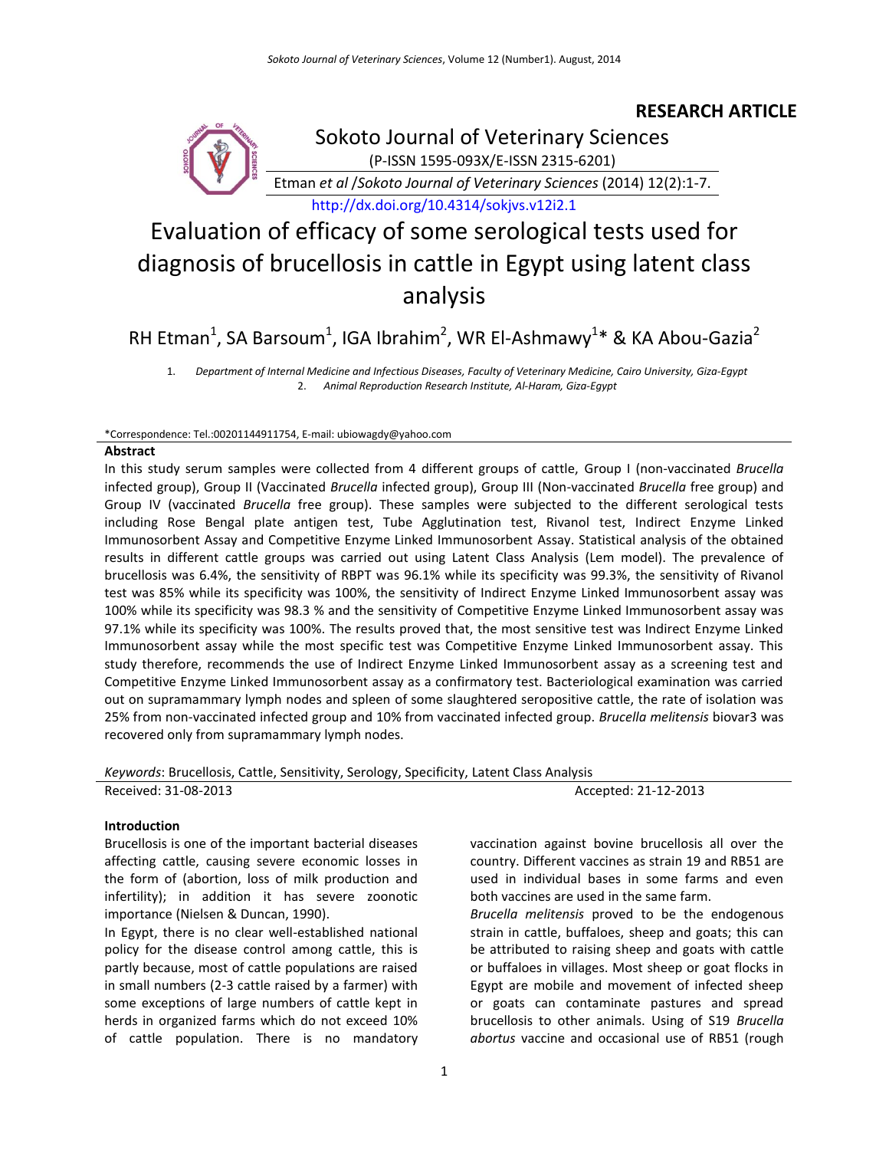# **RESEARCH ARTICLE**



Sokoto Journal of Veterinary Sciences (P-ISSN 1595-093X/E-ISSN 2315-6201)

Etman *et al* /*Sokoto Journal of Veterinary Sciences* (2014) 12(2):1-7.

<http://dx.doi.org/10.4314/sokjvs.v12i2.1>

# Evaluation of efficacy of some serological tests used for diagnosis of brucellosis in cattle in Egypt using latent class analysis

RH Etman<sup>1</sup>, SA Barsoum<sup>1</sup>, IGA Ibrahim<sup>2</sup>, WR El-Ashmawy<sup>1</sup>\* & KA Abou-Gazia<sup>2</sup>

1. *Department of Internal Medicine and Infectious Diseases, Faculty of Veterinary Medicine, Cairo University, Giza-Egypt* 2. *Animal Reproduction Research Institute, Al-Haram, Giza-Egypt*

#### \*Correspondence: Tel.:00201144911754, E-mail: ubiowagd[y@yahoo.com](mailto:esajibola@yahoo.com)

#### **Abstract**

In this study serum samples were collected from 4 different groups of cattle, Group I (non-vaccinated *Brucella* infected group), Group II (Vaccinated *Brucella* infected group), Group III (Non-vaccinated *Brucella* free group) and Group IV (vaccinated *Brucella* free group). These samples were subjected to the different serological tests including Rose Bengal plate antigen test, Tube Agglutination test, Rivanol test, Indirect Enzyme Linked Immunosorbent Assay and Competitive Enzyme Linked Immunosorbent Assay. Statistical analysis of the obtained results in different cattle groups was carried out using Latent Class Analysis (Lem model). The prevalence of brucellosis was 6.4%, the sensitivity of RBPT was 96.1% while its specificity was 99.3%, the sensitivity of Rivanol test was 85% while its specificity was 100%, the sensitivity of Indirect Enzyme Linked Immunosorbent assay was 100% while its specificity was 98.3 % and the sensitivity of Competitive Enzyme Linked Immunosorbent assay was 97.1% while its specificity was 100%. The results proved that, the most sensitive test was Indirect Enzyme Linked Immunosorbent assay while the most specific test was Competitive Enzyme Linked Immunosorbent assay. This study therefore, recommends the use of Indirect Enzyme Linked Immunosorbent assay as a screening test and Competitive Enzyme Linked Immunosorbent assay as a confirmatory test. Bacteriological examination was carried out on supramammary lymph nodes and spleen of some slaughtered seropositive cattle, the rate of isolation was 25% from non-vaccinated infected group and 10% from vaccinated infected group. *Brucella melitensis* biovar3 was recovered only from supramammary lymph nodes.

*Keywords*: Brucellosis, Cattle, Sensitivity, Serology, Specificity, Latent Class Analysis

| Received: 31-08-2013 |  |  | Accepted: 21-12-2013 |
|----------------------|--|--|----------------------|

# **Introduction**

Brucellosis is one of the important bacterial diseases affecting cattle, causing severe economic losses in the form of (abortion, loss of milk production and infertility); in addition it has severe zoonotic importance (Nielsen & Duncan, 1990).

In Egypt, there is no clear well-established national policy for the disease control among cattle, this is partly because, most of cattle populations are raised in small numbers (2-3 cattle raised by a farmer) with some exceptions of large numbers of cattle kept in herds in organized farms which do not exceed 10% of cattle population. There is no mandatory vaccination against bovine brucellosis all over the country. Different vaccines as strain 19 and RB51 are used in individual bases in some farms and even both vaccines are used in the same farm.

*Brucella melitensis* proved to be the endogenous strain in cattle, buffaloes, sheep and goats; this can be attributed to raising sheep and goats with cattle or buffaloes in villages. Most sheep or goat flocks in Egypt are mobile and movement of infected sheep or goats can contaminate pastures and spread brucellosis to other animals. Using of S19 *Brucella abortus* vaccine and occasional use of RB51 (rough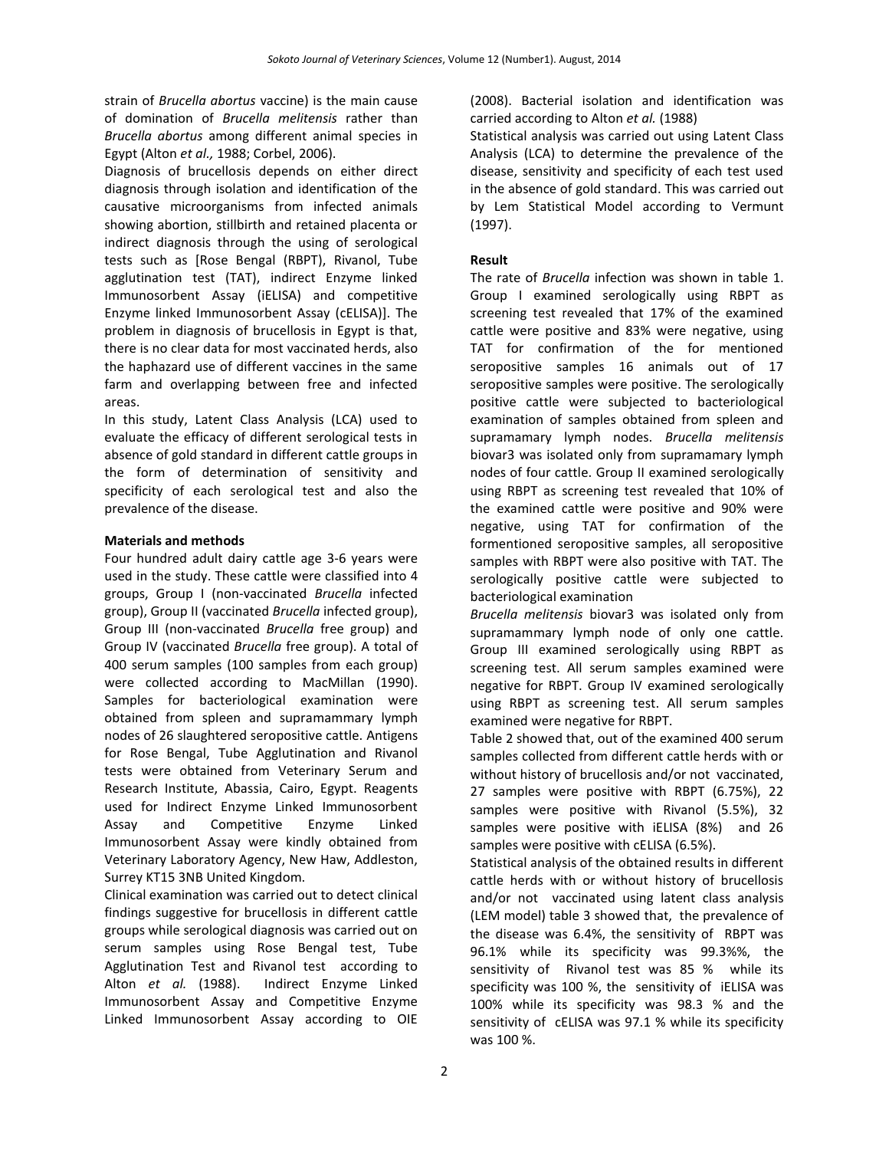strain of *Brucella abortus* vaccine) is the main cause of domination of *Brucella melitensis* rather than *Brucella abortus* among different animal species in Egypt (Alton *et al.,* 1988; Corbel, 2006).

Diagnosis of brucellosis depends on either direct diagnosis through isolation and identification of the causative microorganisms from infected animals showing abortion, stillbirth and retained placenta or indirect diagnosis through the using of serological tests such as [Rose Bengal (RBPT), Rivanol, Tube agglutination test (TAT), indirect Enzyme linked Immunosorbent Assay (iELISA) and competitive Enzyme linked Immunosorbent Assay (cELISA)]. The problem in diagnosis of brucellosis in Egypt is that, there is no clear data for most vaccinated herds, also the haphazard use of different vaccines in the same farm and overlapping between free and infected areas.

In this study, Latent Class Analysis (LCA) used to evaluate the efficacy of different serological tests in absence of gold standard in different cattle groups in the form of determination of sensitivity and specificity of each serological test and also the prevalence of the disease.

# **Materials and methods**

Four hundred adult dairy cattle age 3-6 years were used in the study. These cattle were classified into 4 groups, Group I (non-vaccinated *Brucella* infected group), Group II (vaccinated *Brucella* infected group), Group III (non-vaccinated *Brucella* free group) and Group IV (vaccinated *Brucella* free group). A total of 400 serum samples (100 samples from each group) were collected according to MacMillan (1990). Samples for bacteriological examination were obtained from spleen and supramammary lymph nodes of 26 slaughtered seropositive cattle. Antigens for Rose Bengal, Tube Agglutination and Rivanol tests were obtained from Veterinary Serum and Research Institute, Abassia, Cairo, Egypt. Reagents used for Indirect Enzyme Linked Immunosorbent Assay and Competitive Enzyme Linked Immunosorbent Assay were kindly obtained from Veterinary Laboratory Agency, New Haw, Addleston, Surrey KT15 3NB United Kingdom.

Clinical examination was carried out to detect clinical findings suggestive for brucellosis in different cattle groups while serological diagnosis was carried out on serum samples using Rose Bengal test, Tube Agglutination Test and Rivanol test according to Alton *et al.* (1988). Indirect Enzyme Linked Immunosorbent Assay and Competitive Enzyme Linked Immunosorbent Assay according to OIE

(2008). Bacterial isolation and identification was carried according to Alton *et al.* (1988)

Statistical analysis was carried out using Latent Class Analysis (LCA) to determine the prevalence of the disease, sensitivity and specificity of each test used in the absence of gold standard. This was carried out by Lem Statistical Model according to Vermunt (1997).

# **Result**

The rate of *Brucella* infection was shown in table 1. Group I examined serologically using RBPT as screening test revealed that 17% of the examined cattle were positive and 83% were negative, using TAT for confirmation of the for mentioned seropositive samples 16 animals out of 17 seropositive samples were positive. The serologically positive cattle were subjected to bacteriological examination of samples obtained from spleen and supramamary lymph nodes. *Brucella melitensis* biovar3 was isolated only from supramamary lymph nodes of four cattle. Group II examined serologically using RBPT as screening test revealed that 10% of the examined cattle were positive and 90% were negative, using TAT for confirmation of the formentioned seropositive samples, all seropositive samples with RBPT were also positive with TAT. The serologically positive cattle were subjected to bacteriological examination

*Brucella melitensis* biovar3 was isolated only from supramammary lymph node of only one cattle. Group III examined serologically using RBPT as screening test. All serum samples examined were negative for RBPT. Group IV examined serologically using RBPT as screening test. All serum samples examined were negative for RBPT.

Table 2 showed that, out of the examined 400 serum samples collected from different cattle herds with or without history of brucellosis and/or not vaccinated, 27 samples were positive with RBPT (6.75%), 22 samples were positive with Rivanol (5.5%), 32 samples were positive with iELISA (8%) and 26 samples were positive with cELISA (6.5%).

Statistical analysis of the obtained results in different cattle herds with or without history of brucellosis and/or not vaccinated using latent class analysis (LEM model) table 3 showed that, the prevalence of the disease was 6.4%, the sensitivity of RBPT was 96.1% while its specificity was 99.3%%, the sensitivity of Rivanol test was 85 % while its specificity was 100 %, the sensitivity of iELISA was 100% while its specificity was 98.3 % and the sensitivity of cELISA was 97.1 % while its specificity was 100 %.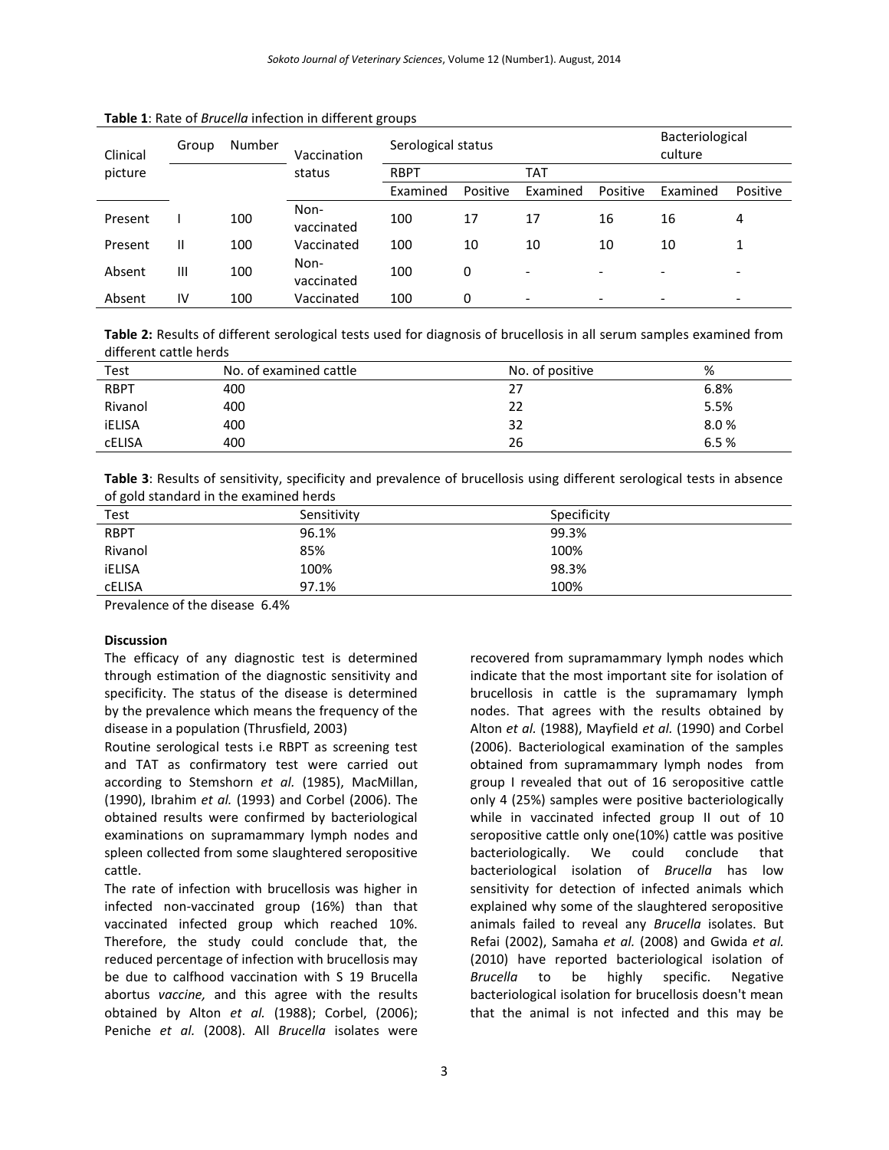| Clinical | Group | Number | Vaccination        | Serological status |          |            |          | Bacteriological<br>culture |          |
|----------|-------|--------|--------------------|--------------------|----------|------------|----------|----------------------------|----------|
| picture  |       |        | status             | <b>RBPT</b>        |          | <b>TAT</b> |          |                            |          |
|          |       |        |                    | Examined           | Positive | Examined   | Positive | Examined                   | Positive |
| Present  |       | 100    | Non-<br>vaccinated | 100                | 17       | 17         | 16       | 16                         | 4        |
| Present  | Ш     | 100    | Vaccinated         | 100                | 10       | 10         | 10       | 10                         |          |
| Absent   | Ш     | 100    | Non-<br>vaccinated | 100                | 0        | -          | -        |                            |          |
| Absent   | IV    | 100    | Vaccinated         | 100                | 0        | -          | -        | $\overline{\phantom{a}}$   | -        |

#### **Table 1**: Rate of *Brucella* infection in different groups

**Table 2:** Results of different serological tests used for diagnosis of brucellosis in all serum samples examined from different cattle herds

| <b>Test</b>   | No. of examined cattle | No. of positive | %    |
|---------------|------------------------|-----------------|------|
| <b>RBPT</b>   | 400                    | 27              | 6.8% |
| Rivanol       | 400                    | 22              | 5.5% |
| <b>iELISA</b> | 400                    | 32              | 8.0% |
| <b>CELISA</b> | 400                    | 26              | 6.5% |

**Table 3**: Results of sensitivity, specificity and prevalence of brucellosis using different serological tests in absence of gold standard in the examined herds

| Test        | Sensitivity | Specificity |
|-------------|-------------|-------------|
| <b>RBPT</b> | 96.1%       | 99.3%       |
| Rivanol     | 85%         | 100%        |
| iELISA      | 100%        | 98.3%       |
| cELISA      | 97.1%       | 100%        |

Prevalence of the disease 6.4%

# **Discussion**

The efficacy of any diagnostic test is determined through estimation of the diagnostic sensitivity and specificity. The status of the disease is determined by the prevalence which means the frequency of the disease in a population (Thrusfield, 2003)

Routine serological tests i.e RBPT as screening test and TAT as confirmatory test were carried out according to Stemshorn *et al.* (1985), MacMillan, (1990), Ibrahim *et al.* (1993) and Corbel (2006). The obtained results were confirmed by bacteriological examinations on supramammary lymph nodes and spleen collected from some slaughtered seropositive cattle.

The rate of infection with brucellosis was higher in infected non-vaccinated group (16%) than that vaccinated infected group which reached 10%. Therefore, the study could conclude that, the reduced percentage of infection with brucellosis may be due to calfhood vaccination with S 19 Brucella abortus *vaccine,* and this agree with the results obtained by Alton *et al.* (1988); Corbel, (2006); Peniche *et al.* (2008). All *Brucella* isolates were recovered from supramammary lymph nodes which indicate that the most important site for isolation of brucellosis in cattle is the supramamary lymph nodes. That agrees with the results obtained by Alton *et al.* (1988), Mayfield *et al.* (1990) and Corbel (2006). Bacteriological examination of the samples obtained from supramammary lymph nodes from group I revealed that out of 16 seropositive cattle only 4 (25%) samples were positive bacteriologically while in vaccinated infected group II out of 10 seropositive cattle only one(10%) cattle was positive bacteriologically. We could conclude that bacteriological isolation of *Brucella* has low sensitivity for detection of infected animals which explained why some of the slaughtered seropositive animals failed to reveal any *Brucella* isolates. But Refai (2002), Samaha *et al.* (2008) and Gwida *et al.* (2010) have reported bacteriological isolation of *Brucella* to be highly specific. Negative bacteriological isolation for brucellosis doesn't mean that the animal is not infected and this may be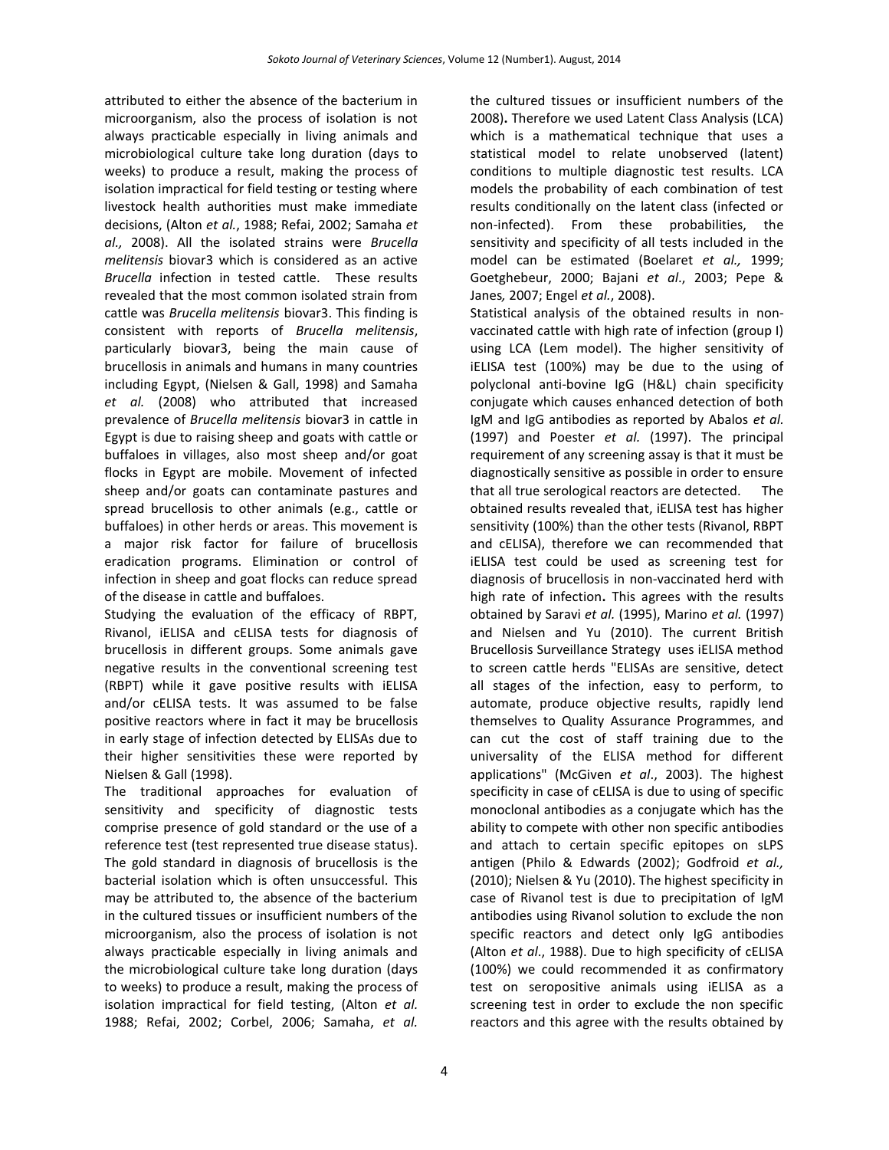attributed to either the absence of the bacterium in the cultured tissues or insufficient numbers of the microorganism, also the process of isolation is not always practicable especially in living animals and microbiological culture take long duration (days to weeks) to produce a result, making the process of isolation impractical for field testing or testing where livestock health authorities must make immediate decisions, (Alton *et al.*, 1988; Refai, 2002; Samaha *et al.,* 2008). All the isolated strains were *Brucella melitensis* biovar3 which is considered as an active *Brucella* infection in tested cattle. These results revealed that the most common isolated strain from cattle was *Brucella melitensis* biovar3. This finding is consistent with reports of *Brucella melitensis*, particularly biovar3, being the main cause of brucellosis in animals and humans in many countries including Egypt, (Nielsen & Gall, 1998) and Samaha *et al.* (2008) who attributed that increased prevalence of *Brucella melitensis* biovar3 in cattle in Egypt is due to raising sheep and goats with cattle or buffaloes in villages, also most sheep and/or goat flocks in Egypt are mobile. Movement of infected sheep and/or goats can contaminate pastures and spread brucellosis to other animals (e.g., cattle or buffaloes) in other herds or areas. This movement is a major risk factor for failure of brucellosis eradication programs. Elimination or control of infection in sheep and goat flocks can reduce spread of the disease in cattle and buffaloes.

Studying the evaluation of the efficacy of RBPT, Rivanol, iELISA and cELISA tests for diagnosis of brucellosis in different groups. Some animals gave negative results in the conventional screening test (RBPT) while it gave positive results with iELISA and/or cELISA tests. It was assumed to be false positive reactors where in fact it may be brucellosis in early stage of infection detected by ELISAs due to their higher sensitivities these were reported by Nielsen & Gall (1998).

The traditional approaches for evaluation of sensitivity and specificity of diagnostic tests comprise presence of gold standard or the use of a reference test (test represented true disease status). The gold standard in diagnosis of brucellosis is the bacterial isolation which is often unsuccessful. This may be attributed to, the absence of the bacterium in the cultured tissues or insufficient numbers of the microorganism, also the process of isolation is not always practicable especially in living animals and the microbiological culture take long duration (days to weeks) to produce a result, making the process of isolation impractical for field testing, (Alton *et al.* 1988; Refai, 2002; Corbel, 2006; Samaha, *et al.* 2008)**.** Therefore we used Latent Class Analysis (LCA) which is a mathematical technique that uses a statistical model to relate unobserved (latent) conditions to multiple diagnostic test results. LCA models the probability of each combination of test results conditionally on the latent class (infected or non-infected). From these probabilities, the sensitivity and specificity of all tests included in the model can be estimated (Boelaret *et al.,* 1999; Goetghebeur, 2000; Bajani *et al*., 2003; Pepe & Janes*,* 2007; Engel *et al.*, 2008).

Statistical analysis of the obtained results in nonvaccinated cattle with high rate of infection (group I) using LCA (Lem model). The higher sensitivity of iELISA test (100%) may be due to the using of polyclonal anti-bovine IgG (H&L) chain specificity conjugate which causes enhanced detection of both IgM and IgG antibodies as reported by Abalos *et al.* (1997) and Poester *et al.* (1997). The principal requirement of any screening assay is that it must be diagnostically sensitive as possible in order to ensure that all true serological reactors are detected. The obtained results revealed that, iELISA test has higher sensitivity (100%) than the other tests (Rivanol, RBPT and cELISA), therefore we can recommended that iELISA test could be used as screening test for diagnosis of brucellosis in non-vaccinated herd with high rate of infection**.** This agrees with the results obtained by Saravi *et al.* (1995), Marino *et al.* (1997) and Nielsen and Yu (2010). The current British Brucellosis Surveillance Strategy uses iELISA method to screen cattle herds "ELISAs are sensitive, detect all stages of the infection, easy to perform, to automate, produce objective results, rapidly lend themselves to Quality Assurance Programmes, and can cut the cost of staff training due to the universality of the ELISA method for different applications" (McGiven *et al*., 2003). The highest specificity in case of cELISA is due to using of specific monoclonal antibodies as a conjugate which has the ability to compete with other non specific antibodies and attach to certain specific epitopes on sLPS antigen (Philo & Edwards (2002); Godfroid *et al.,* (2010); Nielsen & Yu (2010). The highest specificity in case of Rivanol test is due to precipitation of IgM antibodies using Rivanol solution to exclude the non specific reactors and detect only IgG antibodies (Alton *et al*., 1988). Due to high specificity of cELISA (100%) we could recommended it as confirmatory test on seropositive animals using iELISA as a screening test in order to exclude the non specific reactors and this agree with the results obtained by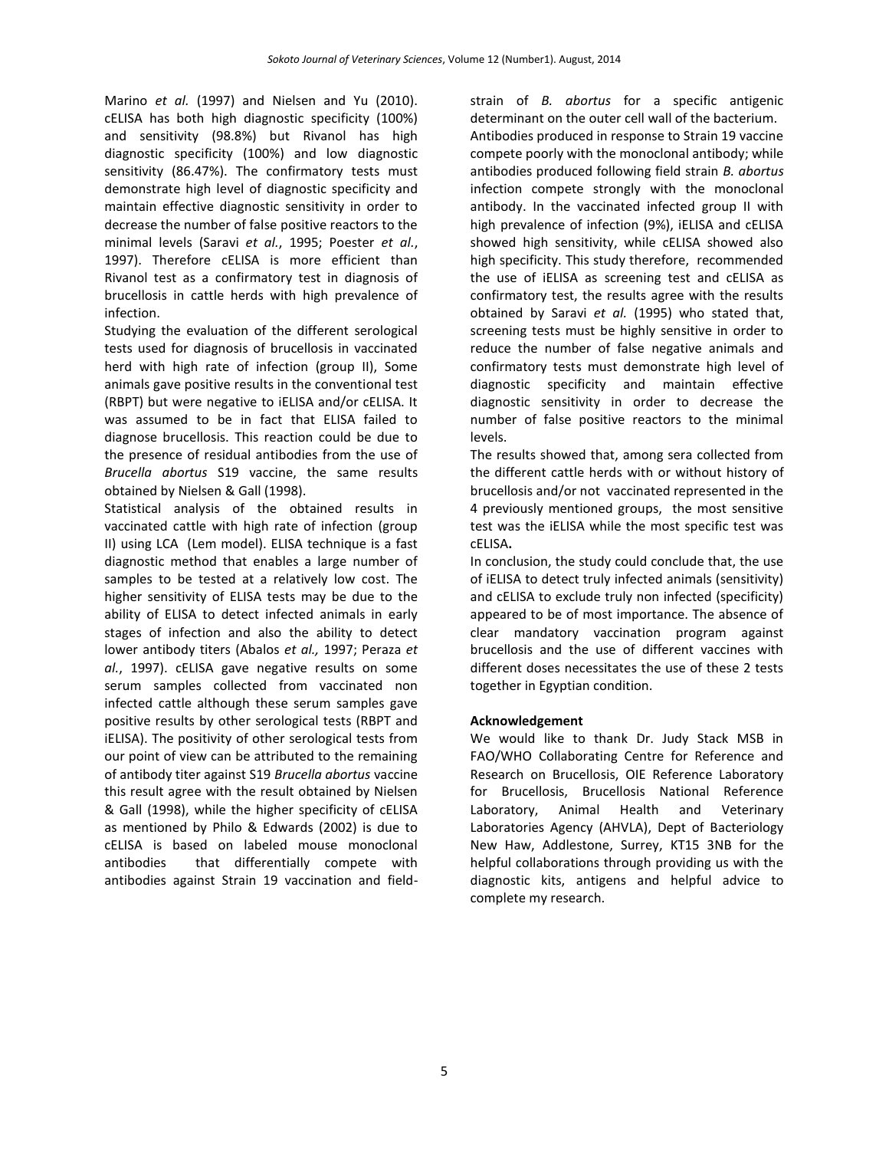Marino *et al.* (1997) and Nielsen and Yu (2010). cELISA has both high diagnostic specificity (100%) and sensitivity (98.8%) but Rivanol has high diagnostic specificity (100%) and low diagnostic sensitivity (86.47%). The confirmatory tests must demonstrate high level of diagnostic specificity and maintain effective diagnostic sensitivity in order to decrease the number of false positive reactors to the minimal levels (Saravi *et al.*, 1995; Poester *et al.*, 1997). Therefore cELISA is more efficient than Rivanol test as a confirmatory test in diagnosis of brucellosis in cattle herds with high prevalence of infection.

Studying the evaluation of the different serological tests used for diagnosis of brucellosis in vaccinated herd with high rate of infection (group II), Some animals gave positive results in the conventional test (RBPT) but were negative to iELISA and/or cELISA. It was assumed to be in fact that ELISA failed to diagnose brucellosis. This reaction could be due to the presence of residual antibodies from the use of *Brucella abortus* S19 vaccine, the same results obtained by Nielsen & Gall (1998).

Statistical analysis of the obtained results in vaccinated cattle with high rate of infection (group II) using LCA (Lem model). ELISA technique is a fast diagnostic method that enables a large number of samples to be tested at a relatively low cost. The higher sensitivity of ELISA tests may be due to the ability of ELISA to detect infected animals in early stages of infection and also the ability to detect lower antibody titers (Abalos *et al.,* 1997; Peraza *et al.*, 1997). cELISA gave negative results on some serum samples collected from vaccinated non infected cattle although these serum samples gave positive results by other serological tests (RBPT and iELISA). The positivity of other serological tests from our point of view can be attributed to the remaining of antibody titer against S19 *Brucella abortus* vaccine this result agree with the result obtained by Nielsen & Gall (1998), while the higher specificity of cELISA as mentioned by Philo & Edwards (2002) is due to cELISA is based on labeled mouse monoclonal antibodies that differentially compete with antibodies against Strain 19 vaccination and fieldstrain of *B. abortus* for a specific antigenic determinant on the outer cell wall of the bacterium. Antibodies produced in response to Strain 19 vaccine compete poorly with the monoclonal antibody; while antibodies produced following field strain *B. abortus*  infection compete strongly with the monoclonal antibody. In the vaccinated infected group II with high prevalence of infection (9%), iELISA and cELISA showed high sensitivity, while cELISA showed also high specificity. This study therefore, recommended the use of iELISA as screening test and cELISA as confirmatory test, the results agree with the results obtained by Saravi *et al.* (1995) who stated that, screening tests must be highly sensitive in order to reduce the number of false negative animals and confirmatory tests must demonstrate high level of diagnostic specificity and maintain effective diagnostic sensitivity in order to decrease the number of false positive reactors to the minimal levels.

The results showed that, among sera collected from the different cattle herds with or without history of brucellosis and/or not vaccinated represented in the 4 previously mentioned groups, the most sensitive test was the iELISA while the most specific test was cELISA**.** 

In conclusion, the study could conclude that, the use of iELISA to detect truly infected animals (sensitivity) and cELISA to exclude truly non infected (specificity) appeared to be of most importance. The absence of clear mandatory vaccination program against brucellosis and the use of different vaccines with different doses necessitates the use of these 2 tests together in Egyptian condition.

# **Acknowledgement**

We would like to thank Dr. Judy Stack MSB in FAO/WHO Collaborating Centre for Reference and Research on Brucellosis, OIE Reference Laboratory for Brucellosis, Brucellosis National Reference Laboratory, Animal Health and Veterinary Laboratories Agency (AHVLA), Dept of Bacteriology New Haw, Addlestone, Surrey, KT15 3NB for the helpful collaborations through providing us with the diagnostic kits, antigens and helpful advice to complete my research.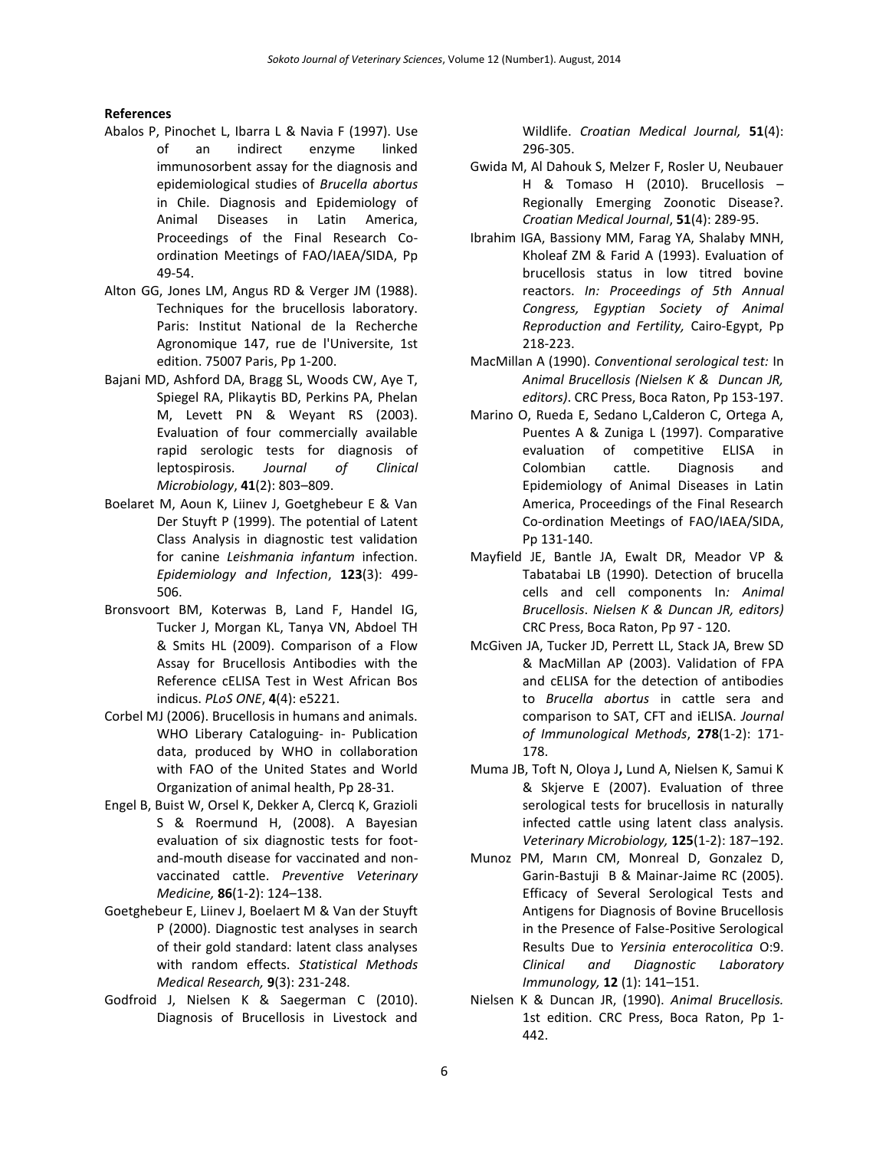### **References**

- Abalos P, Pinochet L, Ibarra L & Navia F (1997). Use of an indirect enzyme linked immunosorbent assay for the diagnosis and epidemiological studies of *Brucella abortus* in Chile. Diagnosis and Epidemiology of Animal Diseases in Latin America, Proceedings of the Final Research Coordination Meetings of FAO/IAEA/SIDA, Pp 49-54.
- Alton GG, Jones LM, Angus RD & Verger JM (1988). Techniques for the brucellosis laboratory. Paris: Institut National de la Recherche Agronomique 147, rue de l'Universite, 1st edition. 75007 Paris, Pp 1-200.
- Bajani MD, Ashford DA, Bragg SL, Woods CW, Aye T, Spiegel RA, Plikaytis BD, Perkins PA, Phelan M, Levett PN & Weyant RS (2003). Evaluation of four commercially available rapid serologic tests for diagnosis of leptospirosis. *Journal of Clinical Microbiology*, **41**(2): 803–809.
- Boelaret M, Aoun K, Liinev J, Goetghebeur E & Van Der Stuyft P (1999). The potential of Latent Class Analysis in diagnostic test validation for canine *Leishmania infantum* infection. *Epidemiology and Infection*, **123**(3): 499- 506.
- Bronsvoort BM, Koterwas B, Land F, Handel IG, Tucker J, Morgan KL, Tanya VN, Abdoel TH & Smits HL (2009). Comparison of a Flow Assay for Brucellosis Antibodies with the Reference cELISA Test in West African Bos indicus. *PLoS ONE*, **4**(4): e5221.
- Corbel MJ (2006). Brucellosis in humans and animals. WHO Liberary Cataloguing- in- Publication data, produced by WHO in collaboration with FAO of the United States and World Organization of animal health, Pp 28-31.
- Engel B, Buist W, Orsel K, Dekker A, Clercq K, Grazioli S & Roermund H, (2008). A Bayesian evaluation of six diagnostic tests for footand-mouth disease for vaccinated and nonvaccinated cattle. *Preventive Veterinary Medicine,* **86**(1-2): 124–138.
- [Goetghebeur E,](http://www.ncbi.nlm.nih.gov/sites/entrez?Db=pubmed&Cmd=Search&Term=%22Goetghebeur%20E%22%5BAuthor%5D&itool=EntrezSystem2.PEntrez.Pubmed.Pubmed_ResultsPanel.Pubmed_RVAbstract) [Liinev J,](http://www.ncbi.nlm.nih.gov/sites/entrez?Db=pubmed&Cmd=Search&Term=%22Liinev%20J%22%5BAuthor%5D&itool=EntrezSystem2.PEntrez.Pubmed.Pubmed_ResultsPanel.Pubmed_RVAbstract) [Boelaert M](http://www.ncbi.nlm.nih.gov/sites/entrez?Db=pubmed&Cmd=Search&Term=%22Boelaert%20M%22%5BAuthor%5D&itool=EntrezSystem2.PEntrez.Pubmed.Pubmed_ResultsPanel.Pubmed_RVAbstract) & [Van der Stuyft](http://www.ncbi.nlm.nih.gov/sites/entrez?Db=pubmed&Cmd=Search&Term=%22Van%20der%20Stuyft%20P%22%5BAuthor%5D&itool=EntrezSystem2.PEntrez.Pubmed.Pubmed_ResultsPanel.Pubmed_RVAbstract)  [P](http://www.ncbi.nlm.nih.gov/sites/entrez?Db=pubmed&Cmd=Search&Term=%22Van%20der%20Stuyft%20P%22%5BAuthor%5D&itool=EntrezSystem2.PEntrez.Pubmed.Pubmed_ResultsPanel.Pubmed_RVAbstract) (2000). Diagnostic test analyses in search of their gold standard: latent class analyses with random effects. *[Statistical](javascript:AL_get(this,%20) Methods [Medical](javascript:AL_get(this,%20) Research,* **9**(3): 231-248.
- Godfroid J, Nielsen K & Saegerman C (2010). Diagnosis of Brucellosis in Livestock and

Wildlife. *Croatian Medical Journal,* **51**(4): 296-305.

- Gwida M, Al Dahouk S, Melzer F, Rosler U, Neubauer H & Tomaso H (2010). Brucellosis – Regionally Emerging Zoonotic Disease?. *Croatian Medical Journal*, **51**(4): 289-95.
- Ibrahim IGA, Bassiony MM, Farag YA, Shalaby MNH, Kholeaf ZM & Farid A (1993). Evaluation of brucellosis status in low titred bovine reactors. *In: Proceedings of 5th Annual Congress, Egyptian Society of Animal Reproduction and Fertility,* Cairo-Egypt, Pp 218-223.
- MacMillan A (1990). *Conventional serological test:* In *Animal Brucellosis (Nielsen K & Duncan JR, editors)*. CRC Press, Boca Raton, Pp 153-197.
- Marino O, Rueda E, Sedano L,Calderon C, Ortega A, Puentes A & Zuniga L (1997). Comparative evaluation of competitive ELISA in Colombian cattle. Diagnosis and Epidemiology of Animal Diseases in Latin America, Proceedings of the Final Research Co-ordination Meetings of FAO/IAEA/SIDA, Pp 131-140.
- Mayfield JE, Bantle JA, Ewalt DR, Meador VP & Tabatabai LB (1990). Detection of brucella cells and cell components In*: Animal Brucellosis*. *Nielsen K & Duncan JR, editors)*  CRC Press, Boca Raton, Pp 97 - 120.
- McGiven JA, Tucker JD, Perrett LL, Stack JA, Brew SD & MacMillan AP (2003). Validation of FPA and cELISA for the detection of antibodies to *Brucella abortus* in cattle sera and comparison to SAT, CFT and iELISA. *Journal of Immunological Methods*, **278**(1-2): 171- 178.
- Muma JB, Toft N, Oloya J**,** Lund A, Nielsen K, Samui K & Skjerve E (2007). Evaluation of three serological tests for brucellosis in naturally infected cattle using latent class analysis. *Veterinary Microbiology,* **125**(1-2): 187–192.
- Munoz PM, Marın CM, Monreal D, Gonzalez D, Garin-Bastuji B & Mainar-Jaime RC (2005). Efficacy of Several Serological Tests and Antigens for Diagnosis of Bovine Brucellosis in the Presence of False-Positive Serological Results Due to *Yersinia enterocolitica* O:9. *Clinical and Diagnostic Laboratory Immunology,* **12** (1): 141–151.
- Nielsen K & Duncan JR, (1990). *Animal Brucellosis.* 1st edition. CRC Press, Boca Raton, Pp 1- 442.